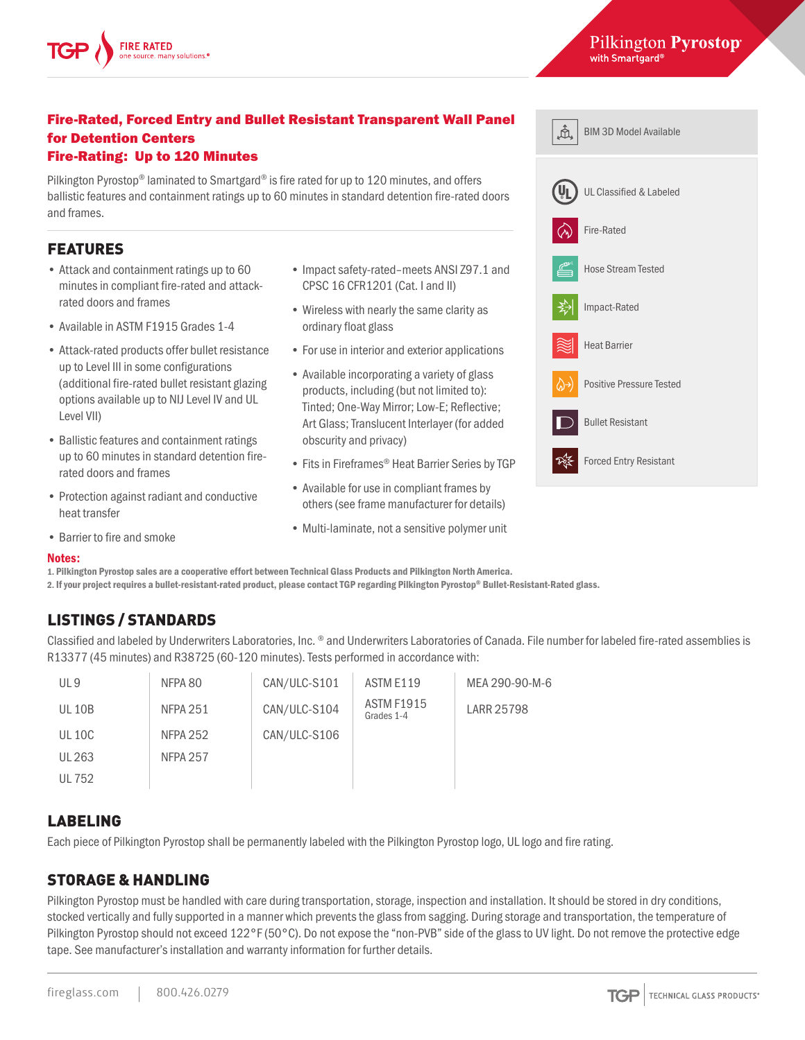# Fire-Rated, Forced Entry and Bullet Resistant Transparent Wall Panel for Detention Centers

### Fire-Rating: Up to 120 Minutes

**FIRE RATED** 

Pilkington Pyrostop® laminated to Smartgard® is fire rated for up to 120 minutes, and offers ballistic features and containment ratings up to 60 minutes in standard detention fire-rated doors and frames.

## FEATURES

- Attack and containment ratings up to 60 minutes in compliant fire-rated and attackrated doors and frames
- Available in ASTM F1915 Grades 1-4
- Attack-rated products offer bullet resistance up to Level III in some configurations (additional fire-rated bullet resistant glazing options available up to NIJ Level IV and UL Level VII)
- Ballistic features and containment ratings up to 60 minutes in standard detention firerated doors and frames
- Protection against radiant and conductive heat transfer
- Barrier to fire and smoke
- Impact safety-rated–meets ANSI Z97.1 and CPSC 16 CFR1201 (Cat. I and II)
- Wireless with nearly the same clarity as ordinary float glass
- For use in interior and exterior applications
- Available incorporating a variety of glass products, including (but not limited to): Tinted; One-Way Mirror; Low-E; Reflective; Art Glass; Translucent Interlayer (for added obscurity and privacy)
- Fits in Fireframes® Heat Barrier Series by TGP
- Available for use in compliant frames by others (see frame manufacturer for details)
- Multi-laminate, not a sensitive polymer unit



#### Notes:

1. Pilkington Pyrostop sales are a cooperative effort between Technical Glass Products and Pilkington North America.

2. If your project requires a bullet-resistant-rated product, please contact TGP regarding Pilkington Pyrostop® Bullet-Resistant-Rated glass.

# LISTINGS / STANDARDS

Classified and labeled by Underwriters Laboratories, Inc. ® and Underwriters Laboratories of Canada. File number for labeled fire-rated assemblies is R13377 (45 minutes) and R38725 (60-120 minutes). Tests performed in accordance with:

| UL <sub>9</sub> | NFPA 80         | CAN/ULC-S101 | ASTM E119                       | MEA 290-90-M-6    |
|-----------------|-----------------|--------------|---------------------------------|-------------------|
| <b>UL 10B</b>   | <b>NFPA 251</b> | CAN/ULC-S104 | <b>ASTM F1915</b><br>Grades 1-4 | <b>LARR 25798</b> |
| <b>UL 10C</b>   | <b>NFPA 252</b> | CAN/ULC-S106 |                                 |                   |
| UL 263          | <b>NFPA 257</b> |              |                                 |                   |
| <b>UL 752</b>   |                 |              |                                 |                   |

## LABELING

Each piece of Pilkington Pyrostop shall be permanently labeled with the Pilkington Pyrostop logo, UL logo and fire rating.

# STORAGE & HANDLING

Pilkington Pyrostop must be handled with care during transportation, storage, inspection and installation. It should be stored in dry conditions, stocked vertically and fully supported in a manner which prevents the glass from sagging. During storage and transportation, the temperature of Pilkington Pyrostop should not exceed 122°F (50°C). Do not expose the "non-PVB" side of the glass to UV light. Do not remove the protective edge tape. See manufacturer's installation and warranty information for further details.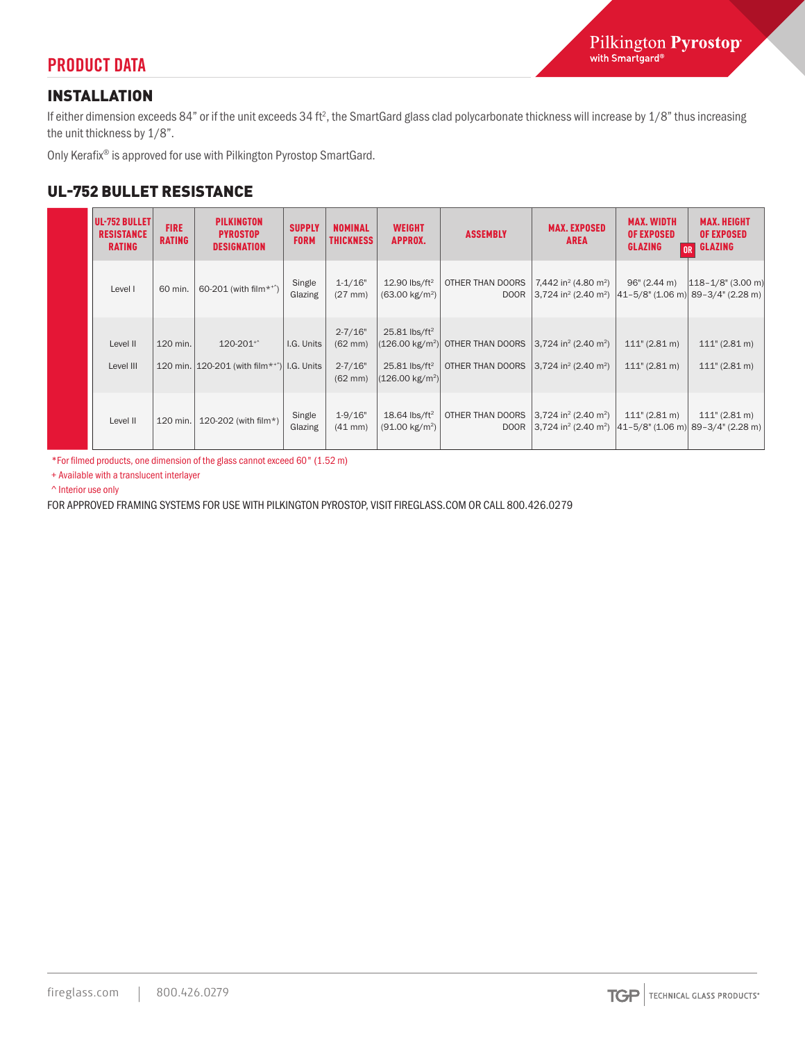# PRODUCT DATA

## INSTALLATION

If either dimension exceeds 84" or if the unit exceeds 34 ft<sup>2</sup>, the SmartGard glass clad polycarbonate thickness will increase by 1/8" thus increasing the unit thickness by 1/8".

Only Kerafix® is approved for use with Pilkington Pyrostop SmartGard.

## UL-752 BULLET RESISTANCE

| UL-752 BULLET<br><b>RESISTANCE</b><br><b>RATING</b> | <b>FIRE</b><br><b>RATING</b> | <b>PILKINGTON</b><br><b>PYROSTOP</b><br><b>DESIGNATION</b>                                     | <b>SUPPLY</b><br><b>FORM</b> | <b>NOMINAL</b><br><b>THICKNESS</b>                                   | <b>WEIGHT</b><br><b>APPROX.</b>                                                         | <b>ASSEMBLY</b>                                                | <b>MAX. EXPOSED</b><br><b>AREA</b>                                                                                                                            | <b>MAX. WIDTH</b><br><b>OF EXPOSED</b><br><b>GLAZING</b> | <b>MAX. HEIGHT</b><br><b>OF EXPOSED</b><br><b>GLAZING</b> |
|-----------------------------------------------------|------------------------------|------------------------------------------------------------------------------------------------|------------------------------|----------------------------------------------------------------------|-----------------------------------------------------------------------------------------|----------------------------------------------------------------|---------------------------------------------------------------------------------------------------------------------------------------------------------------|----------------------------------------------------------|-----------------------------------------------------------|
| Level I                                             | 60 min.                      | 60-201 (with film**^)                                                                          | Single<br>Glazing            | $1 - 1/16"$<br>$(27$ mm $)$                                          | 12.90 $\frac{1}{5}$<br>$(63.00 \text{ kg/m}^2)$                                         | OTHER THAN DOORS<br><b>DOOR</b>                                | 7,442 in <sup>2</sup> (4.80 m <sup>2</sup> )<br>3,724 in <sup>2</sup> (2.40 m <sup>2</sup> ) $ 41-5/8$ " (1.06 m) 89-3/4" (2.28 m)                            | 96" (2.44 m)                                             | $ 118 - 1/8"$ (3.00 m)                                    |
| Level II<br>Level III                               | 120 min.                     | $120 - 201$ <sup>+<math>\degree</math></sup><br>120 min. $ 120-201$ (with film **^) I.G. Units | I.G. Units                   | $2 - 7/16"$<br>$(62 \text{ mm})$<br>$2 - 7/16"$<br>$(62 \text{ mm})$ | $25.81$ lbs/ft <sup>2</sup><br>$25.81$ lbs/ft <sup>2</sup><br>$(126.00 \text{ kg/m}^2)$ | $(126.00 \text{ kg/m}^2)$ OTHER THAN DOORS<br>OTHER THAN DOORS | 3,724 in <sup>2</sup> (2.40 m <sup>2</sup> )<br>3,724 in <sup>2</sup> (2.40 m <sup>2</sup> )                                                                  | 111" (2.81 m)<br>111" (2.81 m)                           | 111" (2.81 m)<br>111" (2.81 m)                            |
| Level II                                            | 120 min.                     | 120-202 (with film*)                                                                           | Single<br>Glazing            | $1 - 9/16"$<br>$(41$ mm $)$                                          | 18.64 lbs/ft <sup>2</sup><br>$(91.00 \text{ kg/m}^2)$                                   | OTHER THAN DOORS<br><b>DOOR</b>                                | $3,724$ in <sup>2</sup> (2.40 m <sup>2</sup> )<br>$\left 3,724\right $ in <sup>2</sup> (2.40 m <sup>2</sup> ) $\left 41-5/8\right $ (1.06 m) 89-3/4" (2.28 m) | 111" (2.81 m)                                            | 111" (2.81 m)                                             |

\*For filmed products, one dimension of the glass cannot exceed 60" (1.52 m)

+ Available with a translucent interlayer

^ Interior use only

FOR APPROVED FRAMING SYSTEMS FOR USE WITH PILKINGTON PYROSTOP, VISIT FIREGLASS.COM OR CALL 800.426.0279